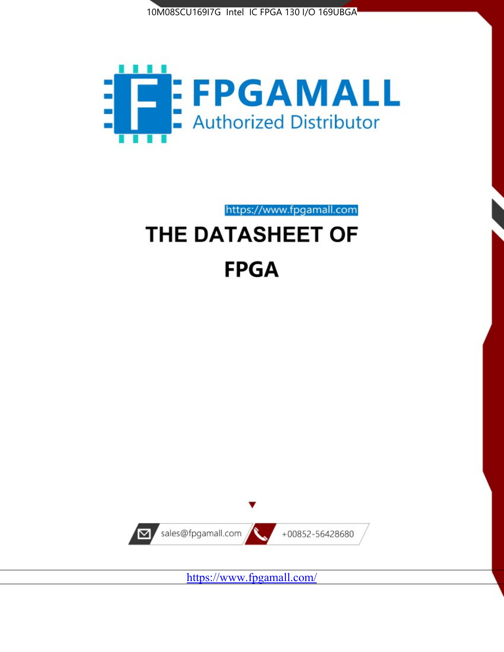



https://www.fpgamall.com

# THE DATASHEET OF **FPGA**



<https://www.fpgamall.com/>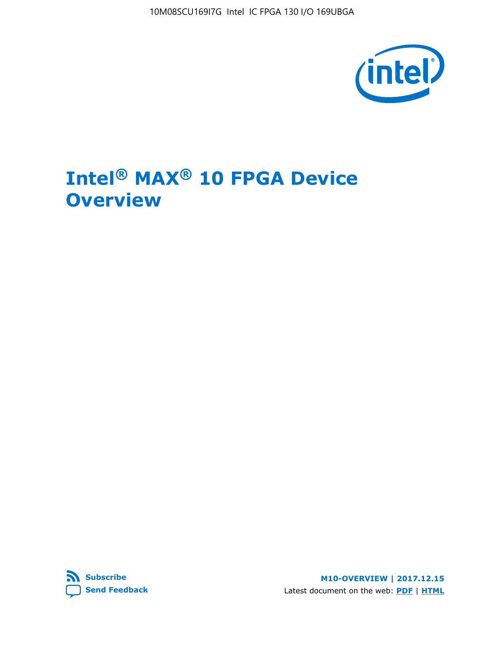10M08SCU169I7G Intel IC FPGA 130 I/O 169UBGA



# **Intel® MAX® 10 FPGA Device Overview**



**M10-OVERVIEW | 2017.12.15** Latest document on the web: **[PDF](https://www.altera.com/en_US/pdfs/literature/hb/max-10/m10_overview.pdf)** | **[HTML](https://www.altera.com/documentation/myt1396938463674.html)**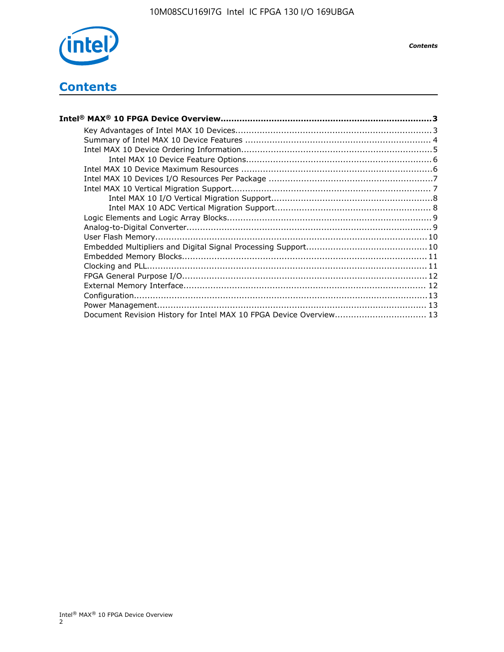

*Contents*

## **Contents**

| Intel® MAX® 10 FPGA Device Overview………………………………………………………………………………………3 |  |
|-----------------------------------------------------------------------|--|
|                                                                       |  |
|                                                                       |  |
|                                                                       |  |
|                                                                       |  |
|                                                                       |  |
|                                                                       |  |
|                                                                       |  |
|                                                                       |  |
|                                                                       |  |
|                                                                       |  |
|                                                                       |  |
|                                                                       |  |
|                                                                       |  |
|                                                                       |  |
|                                                                       |  |
|                                                                       |  |
|                                                                       |  |
|                                                                       |  |
|                                                                       |  |
| Document Revision History for Intel MAX 10 FPGA Device Overview 13    |  |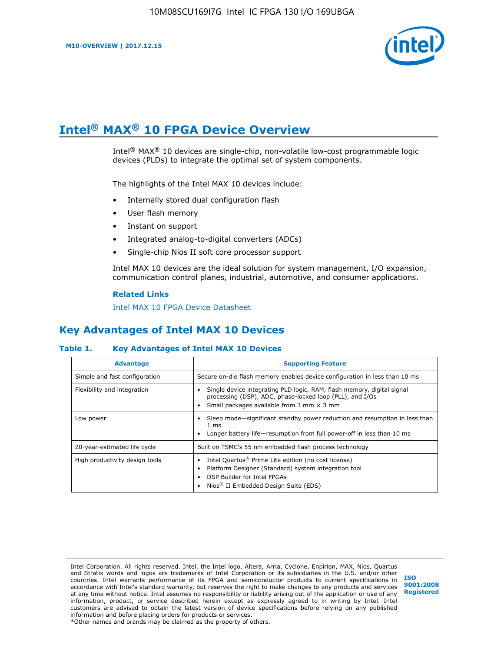

# **Intel® MAX® 10 FPGA Device Overview**

Intel® MAX® 10 devices are single-chip, non-volatile low-cost programmable logic devices (PLDs) to integrate the optimal set of system components.

The highlights of the Intel MAX 10 devices include:

- Internally stored dual configuration flash
- User flash memory
- Instant on support
- Integrated analog-to-digital converters (ADCs)
- Single-chip Nios II soft core processor support

Intel MAX 10 devices are the ideal solution for system management, I/O expansion, communication control planes, industrial, automotive, and consumer applications.

#### **Related Links**

[Intel MAX 10 FPGA Device Datasheet](https://www.altera.com/documentation/mcn1397700832153.html#mcn1397643748870)

## **Key Advantages of Intel MAX 10 Devices**

## **Table 1. Key Advantages of Intel MAX 10 Devices**

| <b>Advantage</b>               | <b>Supporting Feature</b>                                                                                                                                                                                  |  |  |  |
|--------------------------------|------------------------------------------------------------------------------------------------------------------------------------------------------------------------------------------------------------|--|--|--|
| Simple and fast configuration  | Secure on-die flash memory enables device configuration in less than 10 ms                                                                                                                                 |  |  |  |
| Flexibility and integration    | Single device integrating PLD logic, RAM, flash memory, digital signal<br>processing (DSP), ADC, phase-locked loop (PLL), and I/Os<br>Small packages available from 3 mm $\times$ 3 mm                     |  |  |  |
| Low power                      | Sleep mode—significant standby power reduction and resumption in less than<br>$1 \text{ ms}$<br>Longer battery life—resumption from full power-off in less than 10 ms                                      |  |  |  |
| 20-year-estimated life cycle   | Built on TSMC's 55 nm embedded flash process technology                                                                                                                                                    |  |  |  |
| High productivity design tools | Intel Quartus <sup>®</sup> Prime Lite edition (no cost license)<br>Platform Designer (Standard) system integration tool<br>DSP Builder for Intel FPGAs<br>Nios <sup>®</sup> II Embedded Design Suite (EDS) |  |  |  |

Intel Corporation. All rights reserved. Intel, the Intel logo, Altera, Arria, Cyclone, Enpirion, MAX, Nios, Quartus and Stratix words and logos are trademarks of Intel Corporation or its subsidiaries in the U.S. and/or other countries. Intel warrants performance of its FPGA and semiconductor products to current specifications in accordance with Intel's standard warranty, but reserves the right to make changes to any products and services at any time without notice. Intel assumes no responsibility or liability arising out of the application or use of any information, product, or service described herein except as expressly agreed to in writing by Intel. Intel customers are advised to obtain the latest version of device specifications before relying on any published information and before placing orders for products or services. \*Other names and brands may be claimed as the property of others.

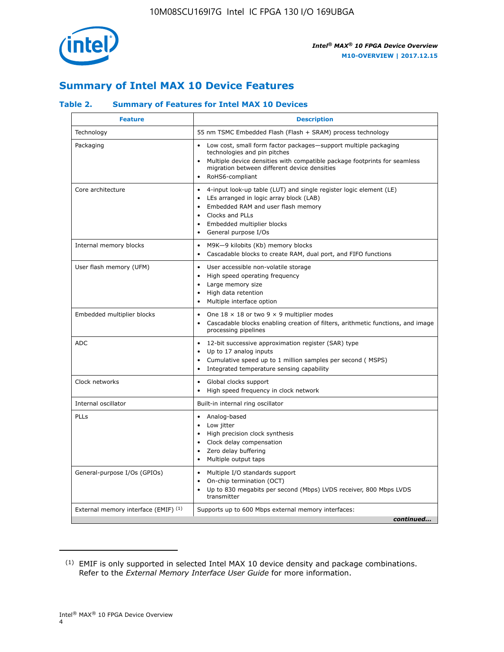

## **Summary of Intel MAX 10 Device Features**

## **Table 2. Summary of Features for Intel MAX 10 Devices**

| <b>Feature</b>                       | <b>Description</b>                                                                                                                                                                                                                                                                                         |
|--------------------------------------|------------------------------------------------------------------------------------------------------------------------------------------------------------------------------------------------------------------------------------------------------------------------------------------------------------|
| Technology                           | 55 nm TSMC Embedded Flash (Flash + SRAM) process technology                                                                                                                                                                                                                                                |
| Packaging                            | Low cost, small form factor packages-support multiple packaging<br>technologies and pin pitches<br>Multiple device densities with compatible package footprints for seamless<br>migration between different device densities<br>RoHS6-compliant                                                            |
| Core architecture                    | 4-input look-up table (LUT) and single register logic element (LE)<br>$\bullet$<br>LEs arranged in logic array block (LAB)<br>$\bullet$<br>Embedded RAM and user flash memory<br>$\bullet$<br>Clocks and PLLs<br>$\bullet$<br>Embedded multiplier blocks<br>$\bullet$<br>General purpose I/Os<br>$\bullet$ |
| Internal memory blocks               | M9K-9 kilobits (Kb) memory blocks<br>$\bullet$<br>Cascadable blocks to create RAM, dual port, and FIFO functions<br>$\bullet$                                                                                                                                                                              |
| User flash memory (UFM)              | User accessible non-volatile storage<br>$\bullet$<br>High speed operating frequency<br>$\bullet$<br>Large memory size<br>High data retention<br>$\bullet$<br>Multiple interface option                                                                                                                     |
| Embedded multiplier blocks           | One $18 \times 18$ or two 9 $\times$ 9 multiplier modes<br>$\bullet$<br>Cascadable blocks enabling creation of filters, arithmetic functions, and image<br>processing pipelines                                                                                                                            |
| <b>ADC</b>                           | 12-bit successive approximation register (SAR) type<br>$\bullet$<br>Up to 17 analog inputs<br>$\bullet$<br>Cumulative speed up to 1 million samples per second (MSPS)<br>Integrated temperature sensing capability<br>$\bullet$                                                                            |
| Clock networks                       | Global clocks support<br>$\bullet$<br>High speed frequency in clock network                                                                                                                                                                                                                                |
| Internal oscillator                  | Built-in internal ring oscillator                                                                                                                                                                                                                                                                          |
| PLLs                                 | • Analog-based<br>Low jitter<br>$\bullet$<br>High precision clock synthesis<br>$\bullet$<br>Clock delay compensation<br>$\bullet$<br>Zero delay buffering<br>$\bullet$<br>Multiple output taps<br>$\bullet$                                                                                                |
| General-purpose I/Os (GPIOs)         | • Multiple I/O standards support<br>On-chip termination (OCT)<br>$\bullet$<br>Up to 830 megabits per second (Mbps) LVDS receiver, 800 Mbps LVDS<br>transmitter                                                                                                                                             |
| External memory interface (EMIF) (1) | Supports up to 600 Mbps external memory interfaces:<br>continued                                                                                                                                                                                                                                           |

<sup>(1)</sup> EMIF is only supported in selected Intel MAX 10 device density and package combinations. Refer to the *External Memory Interface User Guide* for more information.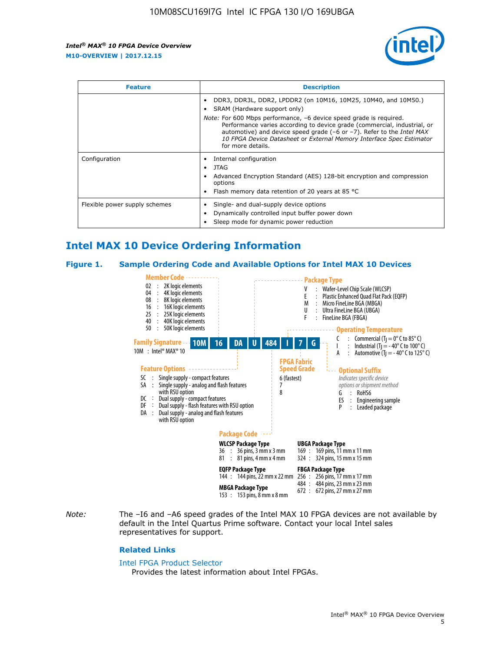

| <b>Feature</b>                | <b>Description</b>                                                                                                                                                                                                                                                                                                                                                                                                            |  |  |  |
|-------------------------------|-------------------------------------------------------------------------------------------------------------------------------------------------------------------------------------------------------------------------------------------------------------------------------------------------------------------------------------------------------------------------------------------------------------------------------|--|--|--|
|                               | DDR3, DDR3L, DDR2, LPDDR2 (on 10M16, 10M25, 10M40, and 10M50.)<br>SRAM (Hardware support only)<br><i>Note:</i> For 600 Mbps performance, -6 device speed grade is required.<br>Performance varies according to device grade (commercial, industrial, or<br>automotive) and device speed grade (-6 or -7). Refer to the Intel MAX<br>10 FPGA Device Datasheet or External Memory Interface Spec Estimator<br>for more details. |  |  |  |
| Configuration                 | Internal configuration<br>JTAG<br>٠<br>Advanced Encryption Standard (AES) 128-bit encryption and compression<br>options<br>Flash memory data retention of 20 years at 85 $^{\circ}$ C                                                                                                                                                                                                                                         |  |  |  |
| Flexible power supply schemes | Single- and dual-supply device options<br>Dynamically controlled input buffer power down<br>Sleep mode for dynamic power reduction                                                                                                                                                                                                                                                                                            |  |  |  |

## **Intel MAX 10 Device Ordering Information**

#### **Figure 1. Sample Ordering Code and Available Options for Intel MAX 10 Devices**



*Note:* The –I6 and –A6 speed grades of the Intel MAX 10 FPGA devices are not available by default in the Intel Quartus Prime software. Contact your local Intel sales representatives for support.

#### **Related Links**

#### [Intel FPGA Product Selector](http://www.altera.com/products/selector/psg-selector.html)

Provides the latest information about Intel FPGAs.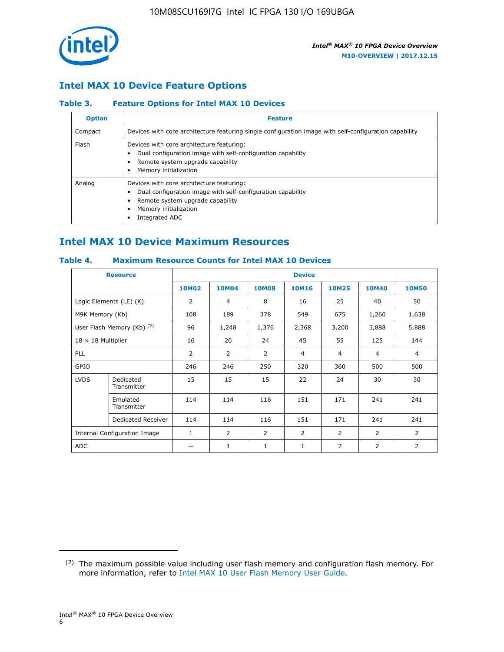

## **Intel MAX 10 Device Feature Options**

## **Table 3. Feature Options for Intel MAX 10 Devices**

| <b>Option</b> | <b>Feature</b>                                                                                                                                                                          |
|---------------|-----------------------------------------------------------------------------------------------------------------------------------------------------------------------------------------|
| Compact       | Devices with core architecture featuring single configuration image with self-configuration capability                                                                                  |
| Flash         | Devices with core architecture featuring:<br>Dual configuration image with self-configuration capability<br>Remote system upgrade capability<br>Memory initialization                   |
| Analog        | Devices with core architecture featuring:<br>Dual configuration image with self-configuration capability<br>Remote system upgrade capability<br>Memory initialization<br>Integrated ADC |

## **Intel MAX 10 Device Maximum Resources**

## **Table 4. Maximum Resource Counts for Intel MAX 10 Devices**

| <b>Resource</b>                     |                            | <b>Device</b>  |              |              |                |                |              |                |
|-------------------------------------|----------------------------|----------------|--------------|--------------|----------------|----------------|--------------|----------------|
|                                     |                            | <b>10M02</b>   | <b>10M04</b> | <b>10M08</b> | <b>10M16</b>   | <b>10M25</b>   | <b>10M40</b> | <b>10M50</b>   |
|                                     | Logic Elements (LE) (K)    | $\overline{2}$ | 4            | 8            | 16             | 25             | 40           | 50             |
| M9K Memory (Kb)                     |                            | 108            | 189          | 378          | 549            | 675            | 1,260        | 1,638          |
|                                     | User Flash Memory (Kb) (2) | 96             | 1,248        | 1,376        | 2,368          | 3,200          | 5,888        | 5,888          |
| $18 \times 18$ Multiplier           |                            | 16             | 20           | 24           | 45             | 55             | 125          | 144            |
| <b>PLL</b>                          |                            | 2              | 2            | 2            | $\overline{4}$ | $\overline{4}$ | 4            | $\overline{4}$ |
| GPIO                                |                            | 246            | 246          | 250          | 320            | 360            | 500          | 500            |
| <b>LVDS</b>                         | Dedicated<br>Transmitter   | 15             | 15           | 15           | 22             | 24             | 30           | 30             |
|                                     | Emulated<br>Transmitter    | 114            | 114          | 116          | 151            | 171            | 241          | 241            |
|                                     | Dedicated Receiver         | 114            | 114          | 116          | 151            | 171            | 241          | 241            |
| <b>Internal Configuration Image</b> |                            | $\mathbf{1}$   | 2            | 2            | $\overline{2}$ | 2              | 2            | $\overline{2}$ |
| <b>ADC</b>                          |                            |                | 1            | 1            | $\mathbf{1}$   | 2              | 2            | 2              |

<sup>(2)</sup> The maximum possible value including user flash memory and configuration flash memory. For more information, refer to [Intel MAX 10 User Flash Memory User Guide](https://www.altera.com/documentation/vgo1395753117436.html#vgo1395811844282).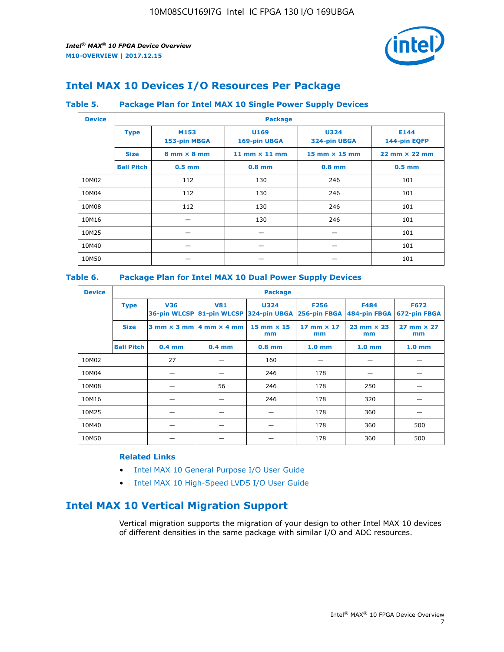

## **Intel MAX 10 Devices I/O Resources Per Package**

## **Table 5. Package Plan for Intel MAX 10 Single Power Supply Devices**

| <b>Device</b> |                   | <b>Package</b>                     |                      |                             |                                      |  |  |  |  |
|---------------|-------------------|------------------------------------|----------------------|-----------------------------|--------------------------------------|--|--|--|--|
|               | <b>Type</b>       | M153<br>153-pin MBGA               | U169<br>169-pin UBGA | <b>U324</b><br>324-pin UBGA | E144<br>144-pin EQFP                 |  |  |  |  |
|               | <b>Size</b>       | $8 \text{ mm} \times 8 \text{ mm}$ | 11 mm $\times$ 11 mm | 15 mm $\times$ 15 mm        | $22 \text{ mm} \times 22 \text{ mm}$ |  |  |  |  |
|               | <b>Ball Pitch</b> | $0.5$ mm                           | $0.8$ mm             | $0.8$ mm                    | $0.5$ mm                             |  |  |  |  |
| 10M02         |                   | 112                                | 130                  | 246                         | 101                                  |  |  |  |  |
| 10M04         |                   | 112                                | 130                  | 246                         | 101                                  |  |  |  |  |
| 10M08         |                   | 112                                | 130                  | 246                         | 101                                  |  |  |  |  |
| 10M16         |                   |                                    | 130                  | 246                         | 101                                  |  |  |  |  |
| 10M25         |                   |                                    |                      |                             | 101                                  |  |  |  |  |
| 10M40         |                   |                                    |                      |                             | 101                                  |  |  |  |  |
| 10M50         |                   |                                    |                      |                             | 101                                  |  |  |  |  |

## **Table 6. Package Plan for Intel MAX 10 Dual Power Supply Devices**

| <b>Device</b> |                   | <b>Package</b> |                                                 |                                                                    |                         |                           |                             |  |  |
|---------------|-------------------|----------------|-------------------------------------------------|--------------------------------------------------------------------|-------------------------|---------------------------|-----------------------------|--|--|
|               | <b>Type</b>       | <b>V36</b>     | <b>V81</b>                                      | <b>U324</b><br>36-pin WLCSP 81-pin WLCSP 324-pin UBGA 256-pin FBGA | <b>F256</b>             | F484<br>484-pin FBGA      | <b>F672</b><br>672-pin FBGA |  |  |
|               | <b>Size</b>       |                | $3$ mm $\times$ 3 mm $\vert$ 4 mm $\times$ 4 mm | $15$ mm $\times$ 15<br>mm                                          | 17 mm $\times$ 17<br>mm | $23$ mm $\times$ 23<br>mm | $27$ mm $\times$ 27<br>mm   |  |  |
|               | <b>Ball Pitch</b> | $0.4$ mm       | $0.4$ mm                                        | $0.8$ mm                                                           | 1.0 <sub>mm</sub>       | 1.0 <sub>mm</sub>         | 1.0 <sub>mm</sub>           |  |  |
| 10M02         |                   | 27             |                                                 | 160                                                                |                         |                           |                             |  |  |
| 10M04         |                   |                |                                                 | 246                                                                | 178                     |                           |                             |  |  |
| 10M08         |                   |                | 56                                              | 246                                                                | 178                     | 250                       |                             |  |  |
| 10M16         |                   |                |                                                 | 246                                                                | 178                     | 320                       |                             |  |  |
| 10M25         |                   |                |                                                 |                                                                    | 178                     | 360                       |                             |  |  |
| 10M40         |                   |                |                                                 |                                                                    | 178                     | 360                       | 500                         |  |  |
| 10M50         |                   |                |                                                 |                                                                    | 178                     | 360                       | 500                         |  |  |

## **Related Links**

- [Intel MAX 10 General Purpose I/O User Guide](https://www.altera.com/documentation/sam1393999966669.html#sam1394000084476)
- [Intel MAX 10 High-Speed LVDS I/O User Guide](https://www.altera.com/documentation/sam1394433606063.html#sam1394433911642)

## **Intel MAX 10 Vertical Migration Support**

Vertical migration supports the migration of your design to other Intel MAX 10 devices of different densities in the same package with similar I/O and ADC resources.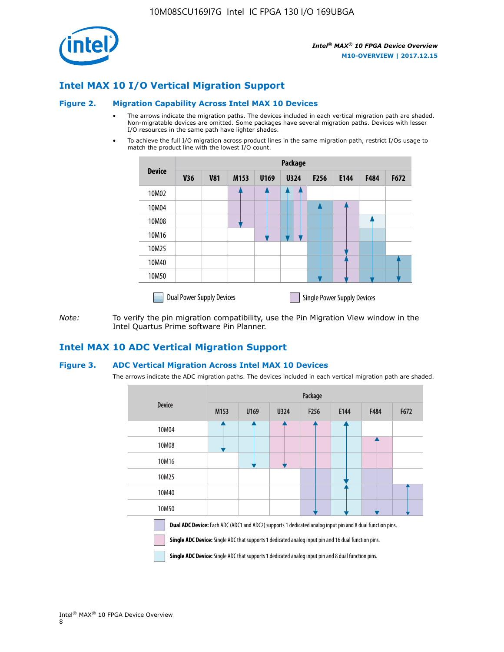

## **Intel MAX 10 I/O Vertical Migration Support**

#### **Figure 2. Migration Capability Across Intel MAX 10 Devices**

- The arrows indicate the migration paths. The devices included in each vertical migration path are shaded. Non-migratable devices are omitted. Some packages have several migration paths. Devices with lesser I/O resources in the same path have lighter shades.
- To achieve the full I/O migration across product lines in the same migration path, restrict I/Os usage to match the product line with the lowest I/O count.

|               | <b>Package</b>                   |            |      |      |             |                  |                                    |      |      |  |
|---------------|----------------------------------|------------|------|------|-------------|------------------|------------------------------------|------|------|--|
| <b>Device</b> | <b>V36</b>                       | <b>V81</b> | M153 | U169 | <b>U324</b> | F <sub>256</sub> | E144                               | F484 | F672 |  |
| 10M02         |                                  |            |      |      | 7           |                  |                                    |      |      |  |
| 10M04         |                                  |            |      |      |             |                  |                                    |      |      |  |
| 10M08         |                                  |            |      |      |             |                  |                                    |      |      |  |
| 10M16         |                                  |            |      |      |             |                  |                                    |      |      |  |
| 10M25         |                                  |            |      |      |             |                  |                                    |      |      |  |
| 10M40         |                                  |            |      |      |             |                  |                                    |      |      |  |
| 10M50         |                                  |            |      |      |             |                  |                                    |      |      |  |
|               | <b>Dual Power Supply Devices</b> |            |      |      |             |                  | <b>Single Power Supply Devices</b> |      |      |  |

*Note:* To verify the pin migration compatibility, use the Pin Migration View window in the Intel Quartus Prime software Pin Planner.

## **Intel MAX 10 ADC Vertical Migration Support**

#### **Figure 3. ADC Vertical Migration Across Intel MAX 10 Devices**

The arrows indicate the ADC migration paths. The devices included in each vertical migration path are shaded.

|                                                                                                                                                                                                                         | Package |      |      |                  |      |      |      |  |  |
|-------------------------------------------------------------------------------------------------------------------------------------------------------------------------------------------------------------------------|---------|------|------|------------------|------|------|------|--|--|
| <b>Device</b>                                                                                                                                                                                                           | M153    | U169 | U324 | F <sub>256</sub> | E144 | F484 | F672 |  |  |
| 10M04                                                                                                                                                                                                                   |         |      |      |                  |      |      |      |  |  |
| 10M08                                                                                                                                                                                                                   |         |      |      |                  |      |      |      |  |  |
| 10M16                                                                                                                                                                                                                   |         |      |      |                  |      |      |      |  |  |
| 10M25                                                                                                                                                                                                                   |         |      |      |                  |      |      |      |  |  |
| 10M40                                                                                                                                                                                                                   |         |      |      |                  |      |      |      |  |  |
| 10M50                                                                                                                                                                                                                   |         |      |      |                  |      |      |      |  |  |
| Dual ADC Device: Each ADC (ADC1 and ADC2) supports 1 dedicated analog input pin and 8 dual function pins.<br><b>Single ADC Device:</b> Single ADC that supports 1 dedicated analog input pin and 16 dual function pins. |         |      |      |                  |      |      |      |  |  |

**Single ADC Device:** Single ADC that supports 1 dedicated analog input pin and 8 dual function pins.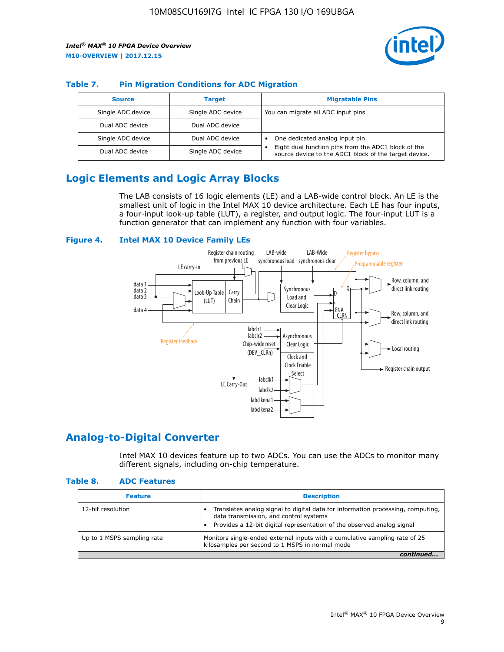

## **Table 7. Pin Migration Conditions for ADC Migration**

| <b>Source</b>     | <b>Target</b>     | <b>Migratable Pins</b>                                                                                            |
|-------------------|-------------------|-------------------------------------------------------------------------------------------------------------------|
| Single ADC device | Single ADC device | You can migrate all ADC input pins                                                                                |
| Dual ADC device   | Dual ADC device   |                                                                                                                   |
| Single ADC device | Dual ADC device   | One dedicated analog input pin.                                                                                   |
| Dual ADC device   | Single ADC device | Eight dual function pins from the ADC1 block of the<br>٠<br>source device to the ADC1 block of the target device. |

## **Logic Elements and Logic Array Blocks**

The LAB consists of 16 logic elements (LE) and a LAB-wide control block. An LE is the smallest unit of logic in the Intel MAX 10 device architecture. Each LE has four inputs, a four-input look-up table (LUT), a register, and output logic. The four-input LUT is a function generator that can implement any function with four variables.

#### **Figure 4. Intel MAX 10 Device Family LEs**



## **Analog-to-Digital Converter**

Intel MAX 10 devices feature up to two ADCs. You can use the ADCs to monitor many different signals, including on-chip temperature.

#### **Table 8. ADC Features**

| <b>Feature</b>             | <b>Description</b>                                                                                                                                                                                  |
|----------------------------|-----------------------------------------------------------------------------------------------------------------------------------------------------------------------------------------------------|
| 12-bit resolution          | Translates analog signal to digital data for information processing, computing,<br>data transmission, and control systems<br>Provides a 12-bit digital representation of the observed analog signal |
| Up to 1 MSPS sampling rate | Monitors single-ended external inputs with a cumulative sampling rate of 25<br>kilosamples per second to 1 MSPS in normal mode                                                                      |
|                            |                                                                                                                                                                                                     |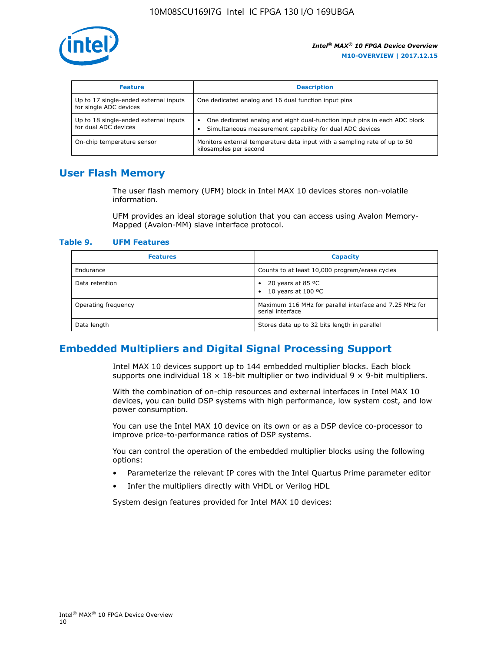

| <b>Feature</b>                                                  | <b>Description</b>                                                                                                                                 |
|-----------------------------------------------------------------|----------------------------------------------------------------------------------------------------------------------------------------------------|
| Up to 17 single-ended external inputs<br>for single ADC devices | One dedicated analog and 16 dual function input pins                                                                                               |
| Up to 18 single-ended external inputs<br>for dual ADC devices   | One dedicated analog and eight dual-function input pins in each ADC block<br>$\bullet$<br>Simultaneous measurement capability for dual ADC devices |
| On-chip temperature sensor                                      | Monitors external temperature data input with a sampling rate of up to 50<br>kilosamples per second                                                |

## **User Flash Memory**

The user flash memory (UFM) block in Intel MAX 10 devices stores non-volatile information.

UFM provides an ideal storage solution that you can access using Avalon Memory-Mapped (Avalon-MM) slave interface protocol.

#### **Table 9. UFM Features**

| <b>Features</b>     | <b>Capacity</b>                                                             |
|---------------------|-----------------------------------------------------------------------------|
| Endurance           | Counts to at least 10,000 program/erase cycles                              |
| Data retention      | 20 years at 85 $^{\circ}$ C<br>٠<br>10 years at 100 °C<br>$\bullet$         |
| Operating frequency | Maximum 116 MHz for parallel interface and 7.25 MHz for<br>serial interface |
| Data length         | Stores data up to 32 bits length in parallel                                |

## **Embedded Multipliers and Digital Signal Processing Support**

Intel MAX 10 devices support up to 144 embedded multiplier blocks. Each block supports one individual  $18 \times 18$ -bit multiplier or two individual  $9 \times 9$ -bit multipliers.

With the combination of on-chip resources and external interfaces in Intel MAX 10 devices, you can build DSP systems with high performance, low system cost, and low power consumption.

You can use the Intel MAX 10 device on its own or as a DSP device co-processor to improve price-to-performance ratios of DSP systems.

You can control the operation of the embedded multiplier blocks using the following options:

- Parameterize the relevant IP cores with the Intel Quartus Prime parameter editor
- Infer the multipliers directly with VHDL or Verilog HDL

System design features provided for Intel MAX 10 devices: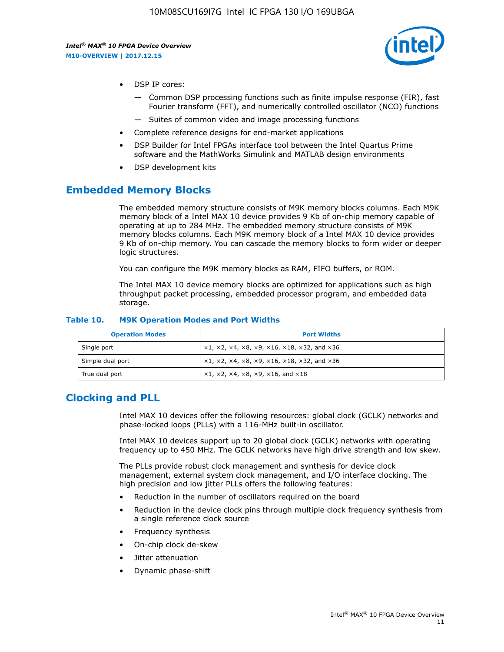

- DSP IP cores:
	- Common DSP processing functions such as finite impulse response (FIR), fast Fourier transform (FFT), and numerically controlled oscillator (NCO) functions
	- Suites of common video and image processing functions
- Complete reference designs for end-market applications
- DSP Builder for Intel FPGAs interface tool between the Intel Quartus Prime software and the MathWorks Simulink and MATLAB design environments
- DSP development kits

## **Embedded Memory Blocks**

The embedded memory structure consists of M9K memory blocks columns. Each M9K memory block of a Intel MAX 10 device provides 9 Kb of on-chip memory capable of operating at up to 284 MHz. The embedded memory structure consists of M9K memory blocks columns. Each M9K memory block of a Intel MAX 10 device provides 9 Kb of on-chip memory. You can cascade the memory blocks to form wider or deeper logic structures.

You can configure the M9K memory blocks as RAM, FIFO buffers, or ROM.

The Intel MAX 10 device memory blocks are optimized for applications such as high throughput packet processing, embedded processor program, and embedded data storage.

| <b>Operation Modes</b> | <b>Port Widths</b>                                                            |
|------------------------|-------------------------------------------------------------------------------|
| Single port            | $x1, x2, x4, x8, x9, x16, x18, x32, and x36$                                  |
| Simple dual port       | $x1, x2, x4, x8, x9, x16, x18, x32, and x36$                                  |
| True dual port         | $\times1, \times2, \times4, \times8, \times9, \times16, \text{and } \times18$ |

#### **Table 10. M9K Operation Modes and Port Widths**

## **Clocking and PLL**

Intel MAX 10 devices offer the following resources: global clock (GCLK) networks and phase-locked loops (PLLs) with a 116-MHz built-in oscillator.

Intel MAX 10 devices support up to 20 global clock (GCLK) networks with operating frequency up to 450 MHz. The GCLK networks have high drive strength and low skew.

The PLLs provide robust clock management and synthesis for device clock management, external system clock management, and I/O interface clocking. The high precision and low jitter PLLs offers the following features:

- Reduction in the number of oscillators required on the board
- Reduction in the device clock pins through multiple clock frequency synthesis from a single reference clock source
- Frequency synthesis
- On-chip clock de-skew
- Jitter attenuation
- Dynamic phase-shift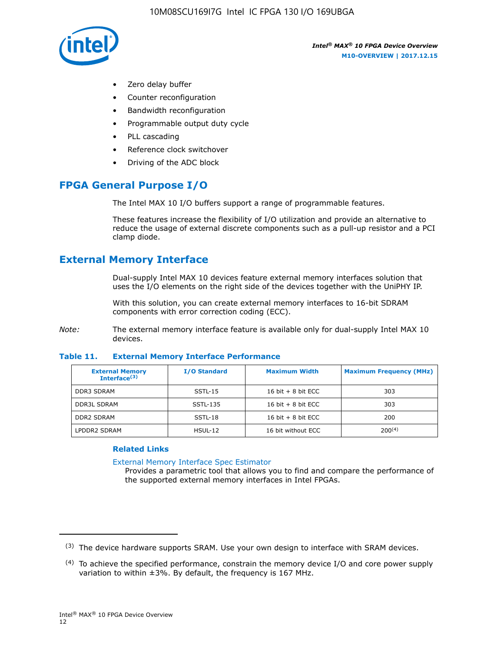

- Zero delay buffer
- Counter reconfiguration
- Bandwidth reconfiguration
- Programmable output duty cycle
- PLL cascading
- Reference clock switchover
- Driving of the ADC block

## **FPGA General Purpose I/O**

The Intel MAX 10 I/O buffers support a range of programmable features.

These features increase the flexibility of I/O utilization and provide an alternative to reduce the usage of external discrete components such as a pull-up resistor and a PCI clamp diode.

## **External Memory Interface**

Dual-supply Intel MAX 10 devices feature external memory interfaces solution that uses the I/O elements on the right side of the devices together with the UniPHY IP.

With this solution, you can create external memory interfaces to 16-bit SDRAM components with error correction coding (ECC).

*Note:* The external memory interface feature is available only for dual-supply Intel MAX 10 devices.

#### **Table 11. External Memory Interface Performance**

| <b>External Memory</b><br>Interface $(3)$ | <b>I/O Standard</b> | <b>Maximum Width</b> | <b>Maximum Frequency (MHz)</b> |
|-------------------------------------------|---------------------|----------------------|--------------------------------|
| <b>DDR3 SDRAM</b>                         | $SSTL-15$           | 16 bit $+8$ bit ECC  | 303                            |
| <b>DDR3L SDRAM</b>                        | SSTL-135            | 16 bit $+8$ bit ECC  | 303                            |
| <b>DDR2 SDRAM</b>                         | SSTL-18             | 16 bit $+8$ bit ECC  | 200                            |
| LPDDR2 SDRAM                              | HSUL-12             | 16 bit without ECC   | $200^{(4)}$                    |

## **Related Links**

[External Memory Interface Spec Estimator](http://www.altera.com/technology/memory/estimator/mem-emif-index.html)

Provides a parametric tool that allows you to find and compare the performance of the supported external memory interfaces in Intel FPGAs.

 $(3)$  The device hardware supports SRAM. Use your own design to interface with SRAM devices.

 $(4)$  To achieve the specified performance, constrain the memory device I/O and core power supply variation to within ±3%. By default, the frequency is 167 MHz.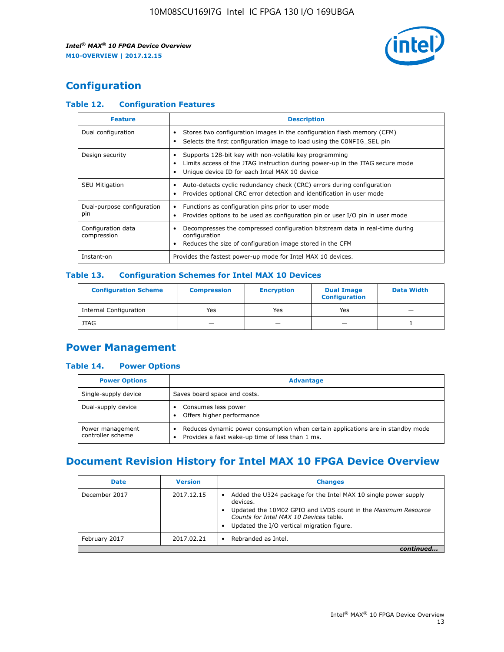

## **Configuration**

## **Table 12. Configuration Features**

| <b>Feature</b>                    | <b>Description</b>                                                                                                                                                                       |
|-----------------------------------|------------------------------------------------------------------------------------------------------------------------------------------------------------------------------------------|
| Dual configuration                | Stores two configuration images in the configuration flash memory (CFM)<br>Selects the first configuration image to load using the CONFIG SEL pin<br>$\bullet$                           |
| Design security                   | Supports 128-bit key with non-volatile key programming<br>Limits access of the JTAG instruction during power-up in the JTAG secure mode<br>Unique device ID for each Intel MAX 10 device |
| <b>SEU Mitigation</b>             | Auto-detects cyclic redundancy check (CRC) errors during configuration<br>Provides optional CRC error detection and identification in user mode                                          |
| Dual-purpose configuration<br>pin | Functions as configuration pins prior to user mode<br>Provides options to be used as configuration pin or user I/O pin in user mode                                                      |
| Configuration data<br>compression | Decompresses the compressed configuration bitstream data in real-time during<br>configuration<br>Reduces the size of configuration image stored in the CFM                               |
| Instant-on                        | Provides the fastest power-up mode for Intel MAX 10 devices.                                                                                                                             |

#### **Table 13. Configuration Schemes for Intel MAX 10 Devices**

| <b>Configuration Scheme</b>   | <b>Compression</b>       | <b>Encryption</b> | <b>Dual Image</b><br><b>Configuration</b> | <b>Data Width</b> |
|-------------------------------|--------------------------|-------------------|-------------------------------------------|-------------------|
| <b>Internal Configuration</b> | Yes                      | Yes               | Yes                                       |                   |
| <b>JTAG</b>                   | $\overline{\phantom{a}}$ |                   | -                                         |                   |

## **Power Management**

## **Table 14. Power Options**

| <b>Power Options</b>                  | <b>Advantage</b>                                                                                                                   |  |
|---------------------------------------|------------------------------------------------------------------------------------------------------------------------------------|--|
| Single-supply device                  | Saves board space and costs.                                                                                                       |  |
| Dual-supply device                    | Consumes less power<br>Offers higher performance                                                                                   |  |
| Power management<br>controller scheme | Reduces dynamic power consumption when certain applications are in standby mode<br>Provides a fast wake-up time of less than 1 ms. |  |

## **Document Revision History for Intel MAX 10 FPGA Device Overview**

| <b>Date</b>   | <b>Version</b> | <b>Changes</b>                                                                                                                                                                                                                       |
|---------------|----------------|--------------------------------------------------------------------------------------------------------------------------------------------------------------------------------------------------------------------------------------|
| December 2017 | 2017.12.15     | Added the U324 package for the Intel MAX 10 single power supply<br>devices.<br>Updated the 10M02 GPIO and LVDS count in the Maximum Resource<br>Counts for Intel MAX 10 Devices table.<br>Updated the I/O vertical migration figure. |
| February 2017 | 2017.02.21     | Rebranded as Intel.                                                                                                                                                                                                                  |
|               |                |                                                                                                                                                                                                                                      |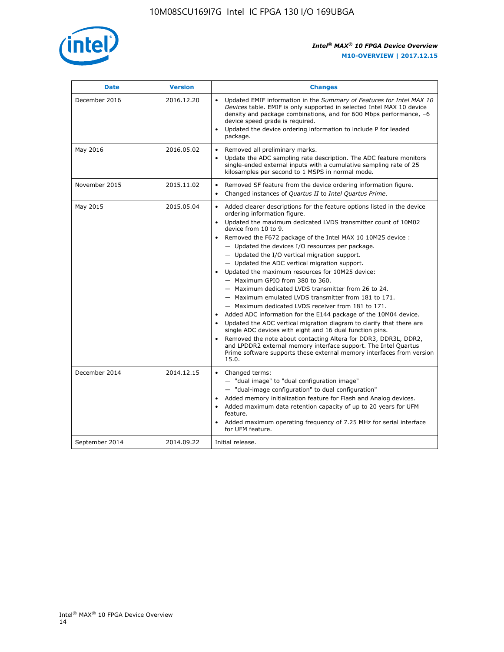

| <b>Date</b>    | <b>Version</b> | <b>Changes</b>                                                                                                                                                                                                                                                                                                                                                                                                                                                                                                                                                                                                                                                                                                                                                                                                                                                                                                                                                                                                                                                                                                                                                          |
|----------------|----------------|-------------------------------------------------------------------------------------------------------------------------------------------------------------------------------------------------------------------------------------------------------------------------------------------------------------------------------------------------------------------------------------------------------------------------------------------------------------------------------------------------------------------------------------------------------------------------------------------------------------------------------------------------------------------------------------------------------------------------------------------------------------------------------------------------------------------------------------------------------------------------------------------------------------------------------------------------------------------------------------------------------------------------------------------------------------------------------------------------------------------------------------------------------------------------|
| December 2016  | 2016.12.20     | • Updated EMIF information in the Summary of Features for Intel MAX 10<br>Devices table. EMIF is only supported in selected Intel MAX 10 device<br>density and package combinations, and for 600 Mbps performance, -6<br>device speed grade is required.<br>Updated the device ordering information to include P for leaded<br>$\bullet$<br>package.                                                                                                                                                                                                                                                                                                                                                                                                                                                                                                                                                                                                                                                                                                                                                                                                                    |
| May 2016       | 2016.05.02     | Removed all preliminary marks.<br>Update the ADC sampling rate description. The ADC feature monitors<br>$\bullet$<br>single-ended external inputs with a cumulative sampling rate of 25<br>kilosamples per second to 1 MSPS in normal mode.                                                                                                                                                                                                                                                                                                                                                                                                                                                                                                                                                                                                                                                                                                                                                                                                                                                                                                                             |
| November 2015  | 2015.11.02     | Removed SF feature from the device ordering information figure.<br>$\bullet$<br>Changed instances of Quartus II to Intel Quartus Prime.<br>$\bullet$                                                                                                                                                                                                                                                                                                                                                                                                                                                                                                                                                                                                                                                                                                                                                                                                                                                                                                                                                                                                                    |
| May 2015       | 2015.05.04     | Added clearer descriptions for the feature options listed in the device<br>$\bullet$<br>ordering information figure.<br>Updated the maximum dedicated LVDS transmitter count of 10M02<br>$\bullet$<br>device from 10 to 9.<br>• Removed the F672 package of the Intel MAX 10 10M25 device :<br>- Updated the devices I/O resources per package.<br>$-$ Updated the I/O vertical migration support.<br>- Updated the ADC vertical migration support.<br>Updated the maximum resources for 10M25 device:<br>$\bullet$<br>- Maximum GPIO from 380 to 360.<br>- Maximum dedicated LVDS transmitter from 26 to 24.<br>- Maximum emulated LVDS transmitter from 181 to 171.<br>- Maximum dedicated LVDS receiver from 181 to 171.<br>Added ADC information for the E144 package of the 10M04 device.<br>$\bullet$<br>Updated the ADC vertical migration diagram to clarify that there are<br>single ADC devices with eight and 16 dual function pins.<br>Removed the note about contacting Altera for DDR3, DDR3L, DDR2,<br>and LPDDR2 external memory interface support. The Intel Quartus<br>Prime software supports these external memory interfaces from version<br>15.0. |
| December 2014  | 2014.12.15     | Changed terms:<br>$\bullet$<br>- "dual image" to "dual configuration image"<br>- "dual-image configuration" to dual configuration"<br>Added memory initialization feature for Flash and Analog devices.<br>$\bullet$<br>Added maximum data retention capacity of up to 20 years for UFM<br>$\bullet$<br>feature.<br>Added maximum operating frequency of 7.25 MHz for serial interface<br>$\bullet$<br>for UFM feature.                                                                                                                                                                                                                                                                                                                                                                                                                                                                                                                                                                                                                                                                                                                                                 |
| September 2014 | 2014.09.22     | Initial release.                                                                                                                                                                                                                                                                                                                                                                                                                                                                                                                                                                                                                                                                                                                                                                                                                                                                                                                                                                                                                                                                                                                                                        |